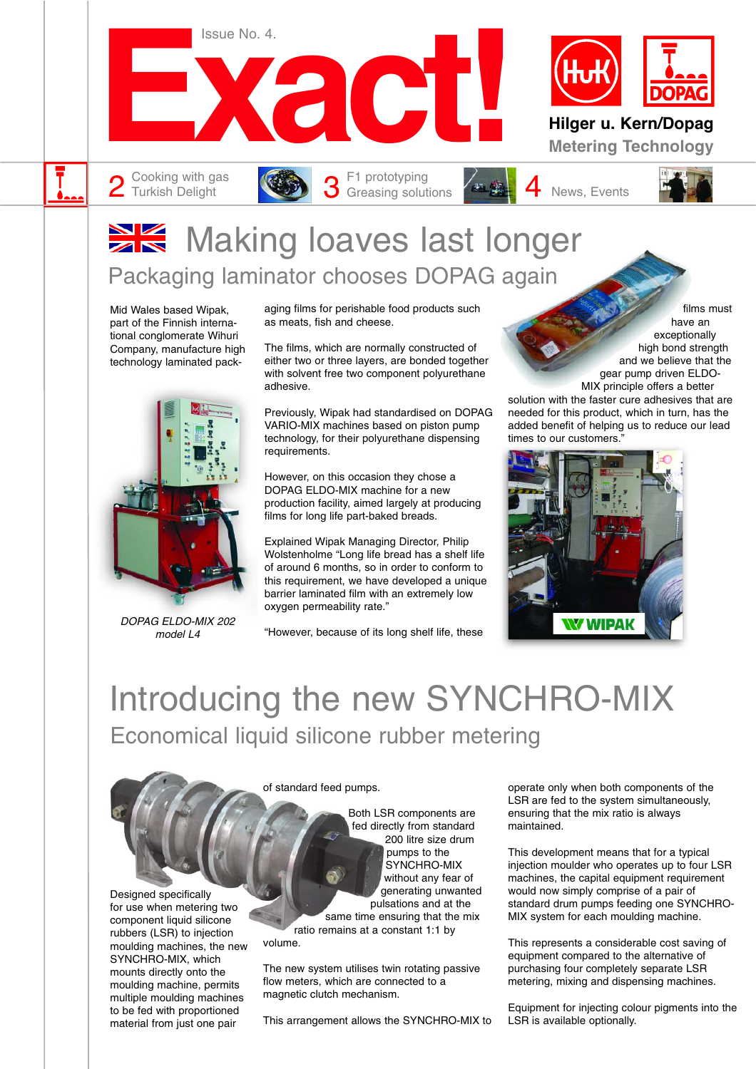

# **Making loaves last longer** Packaging laminator chooses DOPAG again

Mid Wales based Wipak, part of the Finnish international conglomerate Wihuri Company, manufacture high technology laminated pack-



DOPAG ELDO-MIX 202 model L4

aging films for perishable food products such as meats, fish and cheese.

The films, which are normally constructed of either two or three layers, are bonded together with solvent free two component polyurethane adhesive.

Previously, Wipak had standardised on DOPAG VARIO-MIX machines based on piston pump technology, for their polyurethane dispensing requirements.

However, on this occasion they chose a DOPAG ELDO-MIX machine for a new production facility, aimed largely at producing films for long life part-baked breads.

Explained Wipak Managing Director, Philip Wolstenholme "Long life bread has a shelf life of around 6 months, so in order to conform to this requirement, we have developed a unique barrier laminated film with an extremely low oxygen permeability rate."

"However, because of its long shelf life, these

films must have an exceptionally high bond strength and we believe that the gear pump driven ELDO-MIX principle offers a better

solution with the faster cure adhesives that are needed for this product, which in turn, has the added benefit of helping us to reduce our lead times to our customers."



# Introducing the new SYNCHRO-MIX Economical liquid silicone rubber metering



SYNCHRO-MIX, which mounts directly onto the moulding machine, permits multiple moulding machines to be fed with proportioned material from just one pair

of standard feed pumps.

Both LSR components are fed directly from standard 200 litre size drum pumps to the SYNCHRO-MIX without any fear of generating unwanted pulsations and at the same time ensuring that the mix

ratio remains at a constant 1:1 by volume.

The new system utilises twin rotating passive flow meters, which are connected to a magnetic clutch mechanism.

This arrangement allows the SYNCHRO-MIX to

operate only when both components of the LSR are fed to the system simultaneously, ensuring that the mix ratio is always maintained.

This development means that for a typical injection moulder who operates up to four LSR machines, the capital equipment requirement would now simply comprise of a pair of standard drum pumps feeding one SYNCHRO-MIX system for each moulding machine.

This represents a considerable cost saving of equipment compared to the alternative of purchasing four completely separate LSR metering, mixing and dispensing machines.

Equipment for injecting colour pigments into the LSR is available optionally.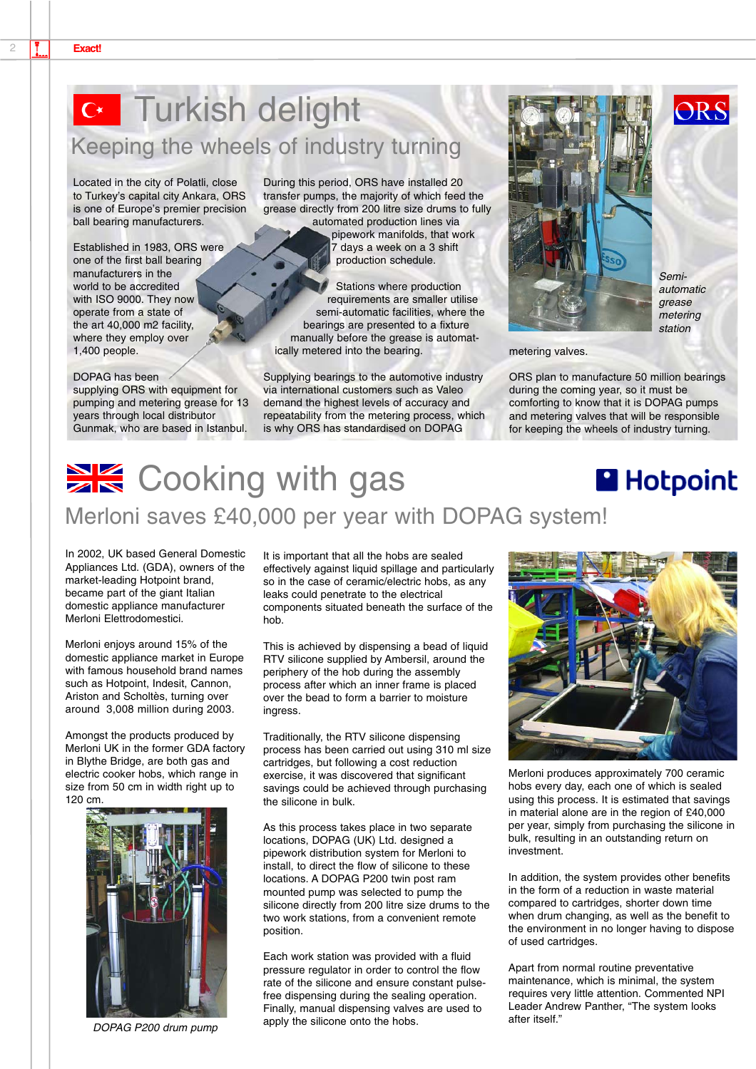# Turkish delight Keeping the wheels of industry turning

Located in the city of Polatli, close to Turkey's capital city Ankara, ORS is one of Europe's premier precision ball bearing manufacturers.

Established in 1983, ORS were one of the first ball bearing manufacturers in the world to be accredited with ISO 9000. They now operate from a state of the art 40,000 m2 facility, where they employ over 1,400 people.

#### DOPAG has been

supplying ORS with equipment for pumping and metering grease for 13 years through local distributor Gunmak, who are based in Istanbul.

During this period, ORS have installed 20 transfer pumps, the majority of which feed the grease directly from 200 litre size drums to fully

automated production lines via pipework manifolds, that work 7 days a week on a 3 shift production schedule.

Stations where production requirements are smaller utilise semi-automatic facilities, where the bearings are presented to a fixture manually before the grease is automatically metered into the bearing.

Supplying bearings to the automotive industry via international customers such as Valeo demand the highest levels of accuracy and repeatability from the metering process, which is why ORS has standardised on DOPAG



Semiautomatic grease metering station

ORS

#### metering valves.

ORS plan to manufacture 50 million bearings during the coming year, so it must be comforting to know that it is DOPAG pumps and metering valves that will be responsible for keeping the wheels of industry turning.

### **XX** Cooking with gas **Hotpoint** Merloni saves £40,000 per year with DOPAG system!

In 2002, UK based General Domestic Appliances Ltd. (GDA), owners of the market-leading Hotpoint brand, became part of the giant Italian domestic appliance manufacturer Merloni Elettrodomestici.

Merloni enjoys around 15% of the domestic appliance market in Europe with famous household brand names such as Hotpoint, Indesit, Cannon, Ariston and Scholtès, turning over around 3,008 million during 2003.

Amongst the products produced by Merloni UK in the former GDA factory in Blythe Bridge, are both gas and electric cooker hobs, which range in size from 50 cm in width right up to 120 cm.



DOPAG P200 drum pump

It is important that all the hobs are sealed effectively against liquid spillage and particularly so in the case of ceramic/electric hobs, as any leaks could penetrate to the electrical components situated beneath the surface of the hob.

This is achieved by dispensing a bead of liquid RTV silicone supplied by Ambersil, around the periphery of the hob during the assembly process after which an inner frame is placed over the bead to form a barrier to moisture ingress.

Traditionally, the RTV silicone dispensing process has been carried out using 310 ml size cartridges, but following a cost reduction exercise, it was discovered that significant savings could be achieved through purchasing the silicone in bulk.

As this process takes place in two separate locations, DOPAG (UK) Ltd. designed a pipework distribution system for Merloni to install, to direct the flow of silicone to these locations. A DOPAG P200 twin post ram mounted pump was selected to pump the silicone directly from 200 litre size drums to the two work stations, from a convenient remote position.

Each work station was provided with a fluid pressure regulator in order to control the flow rate of the silicone and ensure constant pulsefree dispensing during the sealing operation. Finally, manual dispensing valves are used to apply the silicone onto the hobs.



Merloni produces approximately 700 ceramic hobs every day, each one of which is sealed using this process. It is estimated that savings in material alone are in the region of £40,000 per year, simply from purchasing the silicone in bulk, resulting in an outstanding return on investment.

In addition, the system provides other benefits in the form of a reduction in waste material compared to cartridges, shorter down time when drum changing, as well as the benefit to the environment in no longer having to dispose of used cartridges.

Apart from normal routine preventative maintenance, which is minimal, the system requires very little attention. Commented NPI Leader Andrew Panther, "The system looks after itself."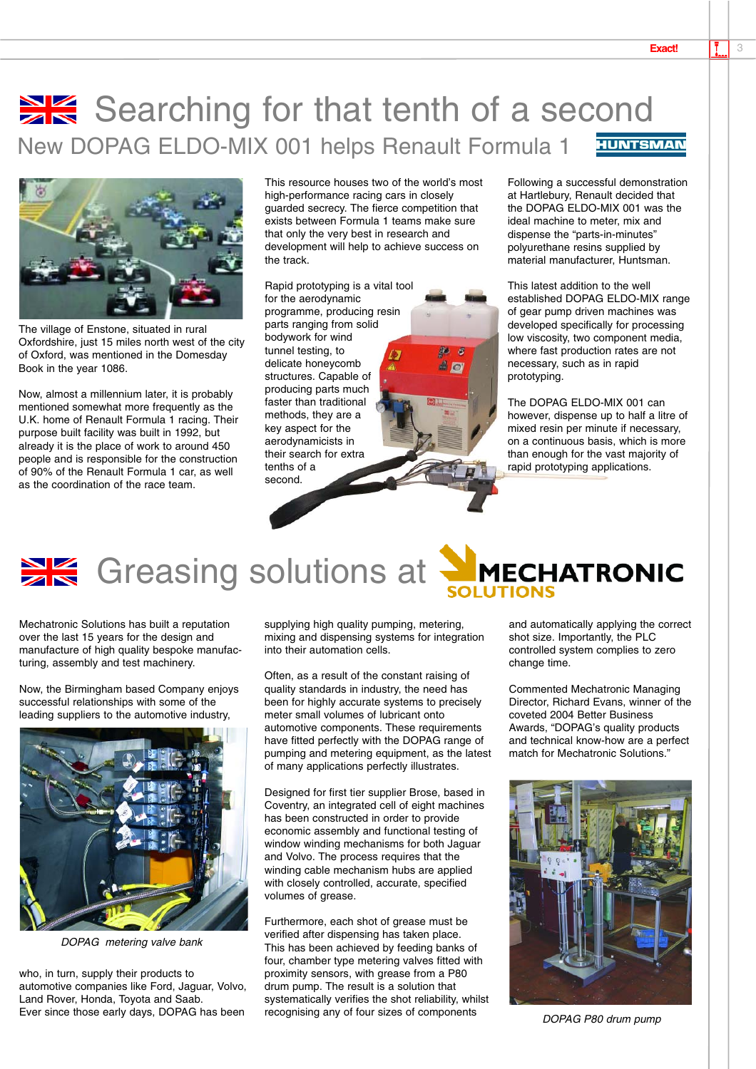## Searching for that tenth of a second New DOPAG ELDO-MIX 001 helps Renault Formula 1 **HUNTSMAN**



The village of Enstone, situated in rural Oxfordshire, just 15 miles north west of the city of Oxford, was mentioned in the Domesday Book in the year 1086.

Now, almost a millennium later, it is probably mentioned somewhat more frequently as the U.K. home of Renault Formula 1 racing. Their purpose built facility was built in 1992, but already it is the place of work to around 450 people and is responsible for the construction of 90% of the Renault Formula 1 car, as well as the coordination of the race team.

This resource houses two of the world's most high-performance racing cars in closely guarded secrecy. The fierce competition that exists between Formula 1 teams make sure that only the very best in research and development will help to achieve success on the track.

 $A$  o

Rapid prototyping is a vital tool for the aerodynamic programme, producing resin parts ranging from solid bodywork for wind tunnel testing, to delicate honeycomb structures. Capable of producing parts much faster than traditional methods, they are a key aspect for the aerodynamicists in their search for extra tenths of a second.

Following a successful demonstration at Hartlebury, Renault decided that the DOPAG ELDO-MIX 001 was the ideal machine to meter, mix and dispense the "parts-in-minutes" polyurethane resins supplied by material manufacturer, Huntsman.

This latest addition to the well established DOPAG ELDO-MIX range of gear pump driven machines was developed specifically for processing low viscosity, two component media, where fast production rates are not necessary, such as in rapid prototyping.

The DOPAG ELDO-MIX 001 can however, dispense up to half a litre of mixed resin per minute if necessary, on a continuous basis, which is more than enough for the vast majority of rapid prototyping applications.

# **SK** Greasing solutions at MECHATRONIC

Mechatronic Solutions has built a reputation over the last 15 years for the design and manufacture of high quality bespoke manufacturing, assembly and test machinery.

Now, the Birmingham based Company enjoys successful relationships with some of the leading suppliers to the automotive industry,



DOPAG metering valve bank

who, in turn, supply their products to automotive companies like Ford, Jaguar, Volvo, Land Rover, Honda, Toyota and Saab. Ever since those early days, DOPAG has been

supplying high quality pumping, metering, mixing and dispensing systems for integration into their automation cells.

Often, as a result of the constant raising of quality standards in industry, the need has been for highly accurate systems to precisely meter small volumes of lubricant onto automotive components. These requirements have fitted perfectly with the DOPAG range of pumping and metering equipment, as the latest of many applications perfectly illustrates.

Designed for first tier supplier Brose, based in Coventry, an integrated cell of eight machines has been constructed in order to provide economic assembly and functional testing of window winding mechanisms for both Jaguar and Volvo. The process requires that the winding cable mechanism hubs are applied with closely controlled, accurate, specified volumes of grease.

Furthermore, each shot of grease must be verified after dispensing has taken place. This has been achieved by feeding banks of four, chamber type metering valves fitted with proximity sensors, with grease from a P80 drum pump. The result is a solution that systematically verifies the shot reliability, whilst recognising any of four sizes of components

and automatically applying the correct shot size. Importantly, the PLC controlled system complies to zero change time.

Commented Mechatronic Managing Director, Richard Evans, winner of the coveted 2004 Better Business Awards, "DOPAG's quality products and technical know-how are a perfect match for Mechatronic Solutions."



DOPAG P80 drum pump